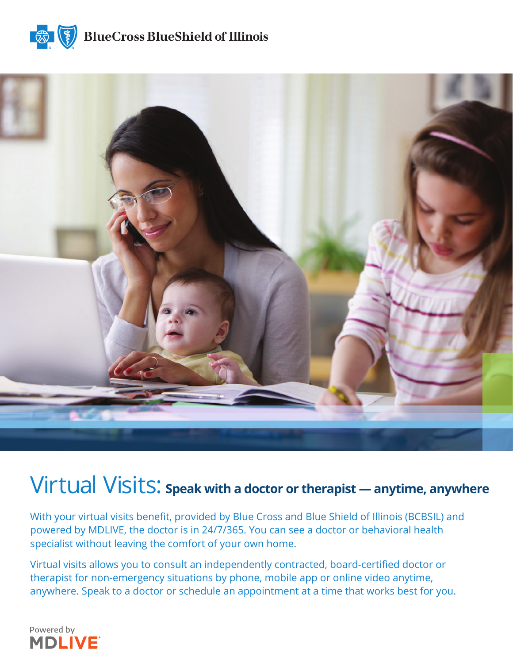



## Virtual Visits: **Speak with a doctor or therapist — anytime, anywhere**

With your virtual visits benefit, provided by Blue Cross and Blue Shield of Illinois (BCBSIL) and powered by MDLIVE, the doctor is in 24/7/365. You can see a doctor or behavioral health specialist without leaving the comfort of your own home.

Virtual visits allows you to consult an independently contracted, board-certified doctor or therapist for non-emergency situations by phone, mobile app or online video anytime, anywhere. Speak to a doctor or schedule an appointment at a time that works best for you.